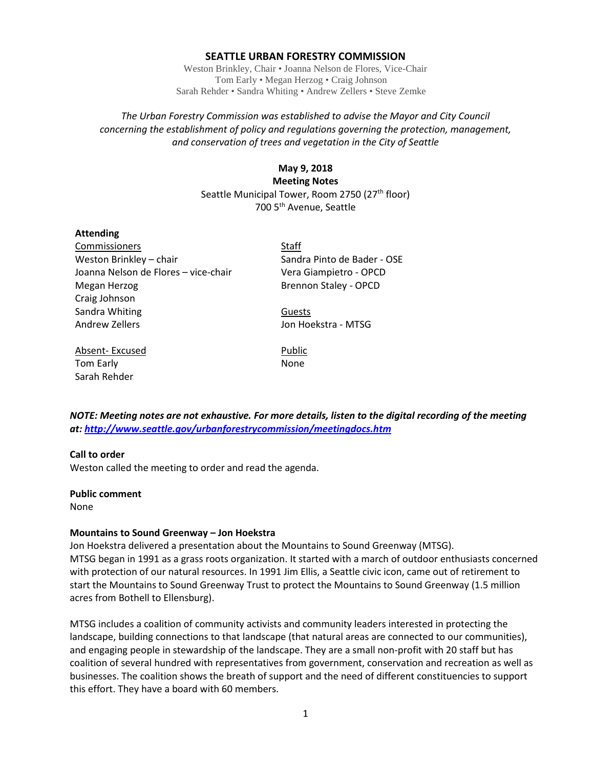### **SEATTLE URBAN FORESTRY COMMISSION**

Weston Brinkley, Chair • Joanna Nelson de Flores, Vice-Chair Tom Early • Megan Herzog • Craig Johnson Sarah Rehder • Sandra Whiting • Andrew Zellers • Steve Zemke

# *The Urban Forestry Commission was established to advise the Mayor and City Council concerning the establishment of policy and regulations governing the protection, management, and conservation of trees and vegetation in the City of Seattle*

# **May 9, 2018 Meeting Notes** Seattle Municipal Tower, Room 2750 (27<sup>th</sup> floor) 700 5th Avenue, Seattle

### **Attending**

Commissioners Staff Weston Brinkley – chair Sandra Pinto de Bader - OSE Joanna Nelson de Flores – vice-chair Vera Giampietro - OPCD Megan Herzog Brennon Staley - OPCD Craig Johnson Sandra Whiting **Guess** Guests Andrew Zellers and a state of the US of Hoekstra - MTSG

Absent- Excused Public Tom Early None Sarah Rehder

*NOTE: Meeting notes are not exhaustive. For more details, listen to the digital recording of the meeting at:<http://www.seattle.gov/urbanforestrycommission/meetingdocs.htm>*

### **Call to order**

Weston called the meeting to order and read the agenda.

### **Public comment**

None

### **Mountains to Sound Greenway – Jon Hoekstra**

Jon Hoekstra delivered a presentation about the Mountains to Sound Greenway (MTSG). MTSG began in 1991 as a grass roots organization. It started with a march of outdoor enthusiasts concerned with protection of our natural resources. In 1991 Jim Ellis, a Seattle civic icon, came out of retirement to start the Mountains to Sound Greenway Trust to protect the Mountains to Sound Greenway (1.5 million acres from Bothell to Ellensburg).

MTSG includes a coalition of community activists and community leaders interested in protecting the landscape, building connections to that landscape (that natural areas are connected to our communities), and engaging people in stewardship of the landscape. They are a small non-profit with 20 staff but has coalition of several hundred with representatives from government, conservation and recreation as well as businesses. The coalition shows the breath of support and the need of different constituencies to support this effort. They have a board with 60 members.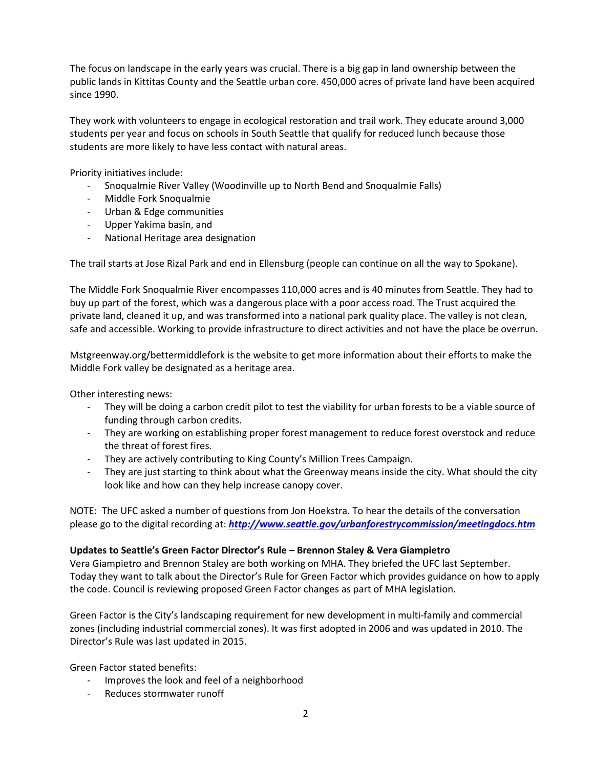The focus on landscape in the early years was crucial. There is a big gap in land ownership between the public lands in Kittitas County and the Seattle urban core. 450,000 acres of private land have been acquired since 1990.

They work with volunteers to engage in ecological restoration and trail work. They educate around 3,000 students per year and focus on schools in South Seattle that qualify for reduced lunch because those students are more likely to have less contact with natural areas.

Priority initiatives include:

- Snoqualmie River Valley (Woodinville up to North Bend and Snoqualmie Falls)
- Middle Fork Snoqualmie
- Urban & Edge communities
- Upper Yakima basin, and
- National Heritage area designation

The trail starts at Jose Rizal Park and end in Ellensburg (people can continue on all the way to Spokane).

The Middle Fork Snoqualmie River encompasses 110,000 acres and is 40 minutes from Seattle. They had to buy up part of the forest, which was a dangerous place with a poor access road. The Trust acquired the private land, cleaned it up, and was transformed into a national park quality place. The valley is not clean, safe and accessible. Working to provide infrastructure to direct activities and not have the place be overrun.

Mstgreenway.org/bettermiddlefork is the website to get more information about their efforts to make the Middle Fork valley be designated as a heritage area.

Other interesting news:

- They will be doing a carbon credit pilot to test the viability for urban forests to be a viable source of funding through carbon credits.
- They are working on establishing proper forest management to reduce forest overstock and reduce the threat of forest fires.
- They are actively contributing to King County's Million Trees Campaign.
- They are just starting to think about what the Greenway means inside the city. What should the city look like and how can they help increase canopy cover.

NOTE: The UFC asked a number of questions from Jon Hoekstra. To hear the details of the conversation please go to the digital recording at: *<http://www.seattle.gov/urbanforestrycommission/meetingdocs.htm>*

### **Updates to Seattle's Green Factor Director's Rule – Brennon Staley & Vera Giampietro**

Vera Giampietro and Brennon Staley are both working on MHA. They briefed the UFC last September. Today they want to talk about the Director's Rule for Green Factor which provides guidance on how to apply the code. Council is reviewing proposed Green Factor changes as part of MHA legislation.

Green Factor is the City's landscaping requirement for new development in multi-family and commercial zones (including industrial commercial zones). It was first adopted in 2006 and was updated in 2010. The Director's Rule was last updated in 2015.

Green Factor stated benefits:

- Improves the look and feel of a neighborhood
- Reduces stormwater runoff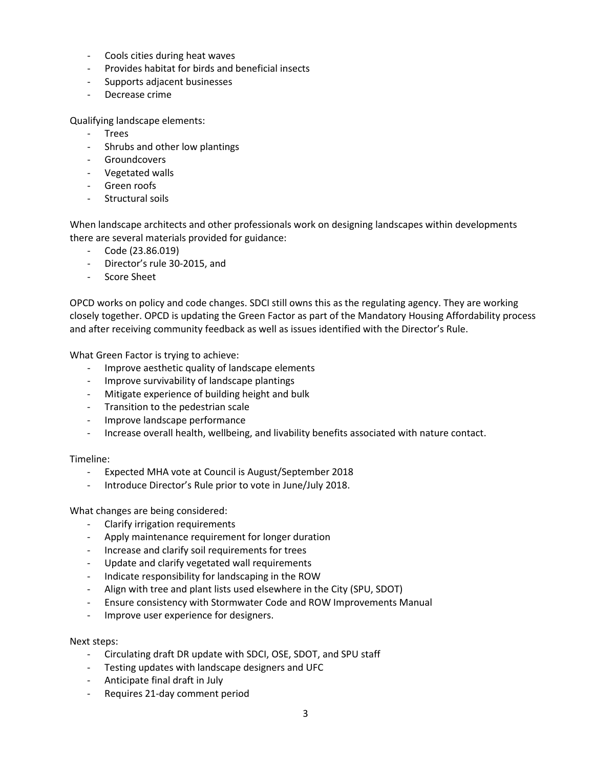- Cools cities during heat waves
- Provides habitat for birds and beneficial insects
- Supports adjacent businesses
- Decrease crime

Qualifying landscape elements:

- Trees
- Shrubs and other low plantings
- Groundcovers
- Vegetated walls
- Green roofs
- Structural soils

When landscape architects and other professionals work on designing landscapes within developments there are several materials provided for guidance:

- Code (23.86.019)
- Director's rule 30-2015, and
- Score Sheet

OPCD works on policy and code changes. SDCI still owns this as the regulating agency. They are working closely together. OPCD is updating the Green Factor as part of the Mandatory Housing Affordability process and after receiving community feedback as well as issues identified with the Director's Rule.

What Green Factor is trying to achieve:

- Improve aesthetic quality of landscape elements
- Improve survivability of landscape plantings
- Mitigate experience of building height and bulk
- Transition to the pedestrian scale
- Improve landscape performance
- Increase overall health, wellbeing, and livability benefits associated with nature contact.

### Timeline:

- Expected MHA vote at Council is August/September 2018
- Introduce Director's Rule prior to vote in June/July 2018.

What changes are being considered:

- Clarify irrigation requirements
- Apply maintenance requirement for longer duration
- Increase and clarify soil requirements for trees
- Update and clarify vegetated wall requirements
- Indicate responsibility for landscaping in the ROW
- Align with tree and plant lists used elsewhere in the City (SPU, SDOT)
- Ensure consistency with Stormwater Code and ROW Improvements Manual
- Improve user experience for designers.

### Next steps:

- Circulating draft DR update with SDCI, OSE, SDOT, and SPU staff
- Testing updates with landscape designers and UFC
- Anticipate final draft in July
- Requires 21-day comment period